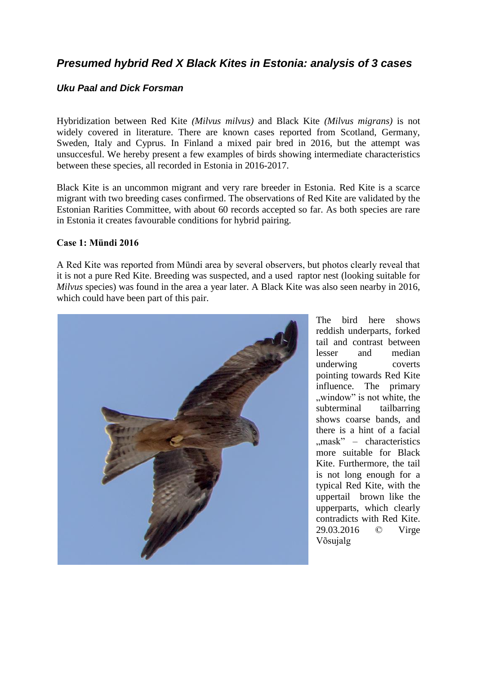# *Presumed hybrid Red X Black Kites in Estonia: analysis of 3 cases*

## *Uku Paal and Dick Forsman*

Hybridization between Red Kite *(Milvus milvus)* and Black Kite *(Milvus migrans)* is not widely covered in literature. There are known cases reported from Scotland, Germany, Sweden, Italy and Cyprus. In Finland a mixed pair bred in 2016, but the attempt was unsuccesful. We hereby present a few examples of birds showing intermediate characteristics between these species, all recorded in Estonia in 2016-2017.

Black Kite is an uncommon migrant and very rare breeder in Estonia. Red Kite is a scarce migrant with two breeding cases confirmed. The observations of Red Kite are validated by the Estonian Rarities Committee, with about 60 records accepted so far. As both species are rare in Estonia it creates favourable conditions for hybrid pairing.

#### **Case 1: Mündi 2016**

A Red Kite was reported from Mündi area by several observers, but photos clearly reveal that it is not a pure Red Kite. Breeding was suspected, and a used raptor nest (looking suitable for *Milvus* species) was found in the area a year later. A Black Kite was also seen nearby in 2016, which could have been part of this pair.



The bird here shows reddish underparts, forked tail and contrast between lesser and median underwing coverts pointing towards Red Kite influence. The primary ", window" is not white, the subterminal tailbarring shows coarse bands, and there is a hint of a facial  $mask'' - characteristic$ more suitable for Black Kite. Furthermore, the tail is not long enough for a typical Red Kite, with the uppertail brown like the upperparts, which clearly contradicts with Red Kite. 29.03.2016 © Virge Võsujalg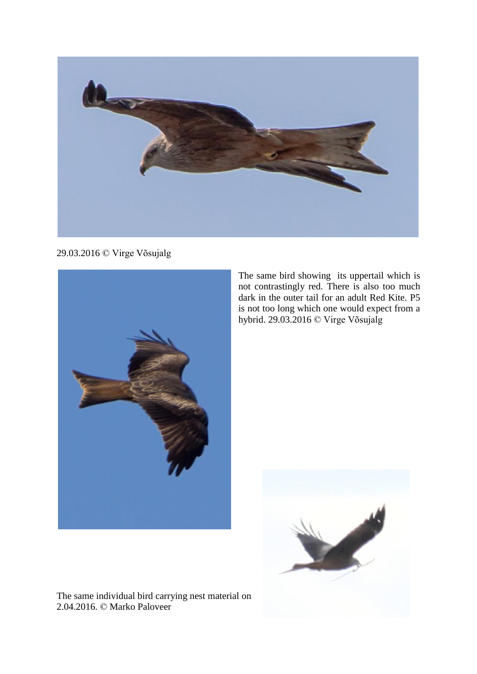

29.03.2016 © Virge Võsujalg



The same bird showing its uppertail which is not contrastingly red. There is also too much dark in the outer tail for an adult Red Kite. P5 is not too long which one would expect from a hybrid. 29.03.2016 © Virge Võsujalg



The same individual bird carrying nest material on 2.04.2016. © Marko Paloveer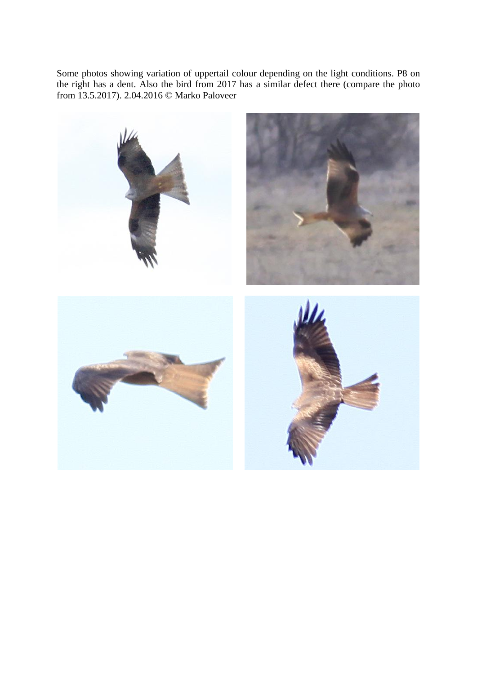Some photos showing variation of uppertail colour depending on the light conditions. P8 on the right has a dent. Also the bird from 2017 has a similar defect there (compare the photo from 13.5.2017). 2.04.2016 © Marko Paloveer

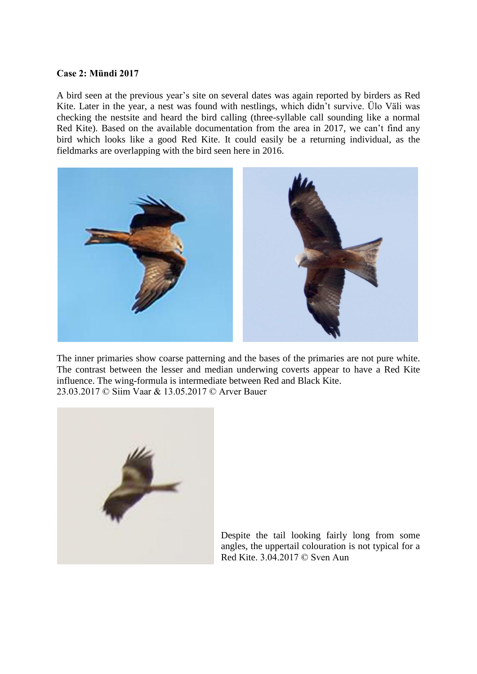#### **Case 2: Mündi 2017**

A bird seen at the previous year's site on several dates was again reported by birders as Red Kite. Later in the year, a nest was found with nestlings, which didn't survive. Ülo Väli was checking the nestsite and heard the bird calling (three-syllable call sounding like a normal Red Kite). Based on the available documentation from the area in 2017, we can't find any bird which looks like a good Red Kite. It could easily be a returning individual, as the fieldmarks are overlapping with the bird seen here in 2016.



The inner primaries show coarse patterning and the bases of the primaries are not pure white. The contrast between the lesser and median underwing coverts appear to have a Red Kite influence. The wing-formula is intermediate between Red and Black Kite. 23.03.2017 © Siim Vaar & 13.05.2017 © Arver Bauer



Despite the tail looking fairly long from some angles, the uppertail colouration is not typical for a Red Kite. 3.04.2017 © Sven Aun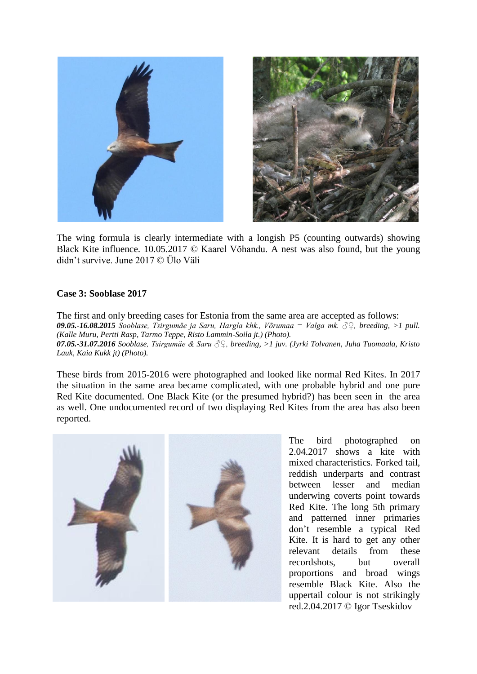

The wing formula is clearly intermediate with a longish P5 (counting outwards) showing Black Kite influence. 10.05.2017 © Kaarel Võhandu. A nest was also found, but the young didn't survive. June 2017 © Ülo Väli

### **Case 3: Sooblase 2017**

The first and only breeding cases for Estonia from the same area are accepted as follows: *09.05.-16.08.2015 Sooblase, Tsirgumäe ja Saru, Hargla khk., Võrumaa = Valga mk. ♂♀, breeding, >1 pull. (Kalle Muru, Pertti Rasp, Tarmo Teppe, Risto Lammin-Soila jt.) (Photo). 07.05.-31.07.2016 Sooblase, Tsirgumäe & Saru ♂♀, breeding, >1 juv. (Jyrki Tolvanen, Juha Tuomaala, Kristo Lauk, Kaia Kukk jt) (Photo).*

These birds from 2015-2016 were photographed and looked like normal Red Kites. In 2017 the situation in the same area became complicated, with one probable hybrid and one pure Red Kite documented. One Black Kite (or the presumed hybrid?) has been seen in the area as well. One undocumented record of two displaying Red Kites from the area has also been reported.



The bird photographed on 2.04.2017 shows a kite with mixed characteristics. Forked tail, reddish underparts and contrast between lesser and median underwing coverts point towards Red Kite. The long 5th primary and patterned inner primaries don't resemble a typical Red Kite. It is hard to get any other relevant details from these recordshots, but overall proportions and broad wings resemble Black Kite. Also the uppertail colour is not strikingly red.2.04.2017 © Igor Tseskidov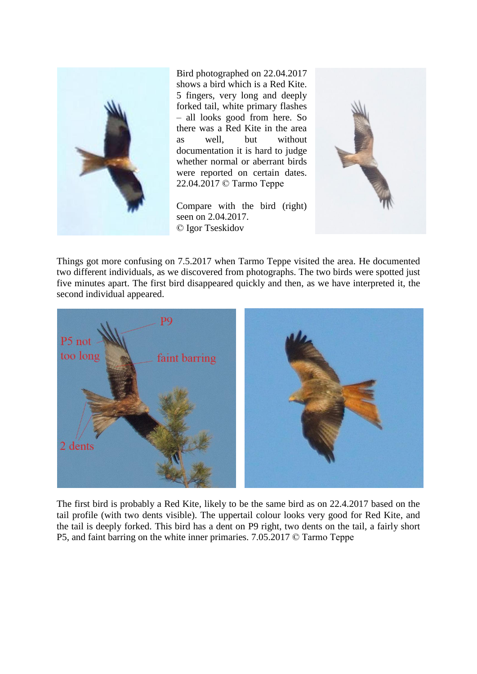

Bird photographed on 22.04.2017 shows a bird which is a Red Kite. 5 fingers, very long and deeply forked tail, white primary flashes – all looks good from here. So there was a Red Kite in the area as well, but without documentation it is hard to judge whether normal or aberrant birds were reported on certain dates. 22.04.2017 © Tarmo Teppe

Compare with the bird (right) seen on 2.04.2017. © Igor Tseskidov



Things got more confusing on 7.5.2017 when Tarmo Teppe visited the area. He documented two different individuals, as we discovered from photographs. The two birds were spotted just five minutes apart. The first bird disappeared quickly and then, as we have interpreted it, the second individual appeared.



The first bird is probably a Red Kite, likely to be the same bird as on 22.4.2017 based on the tail profile (with two dents visible). The uppertail colour looks very good for Red Kite, and the tail is deeply forked. This bird has a dent on P9 right, two dents on the tail, a fairly short P5, and faint barring on the white inner primaries. 7.05.2017 © Tarmo Teppe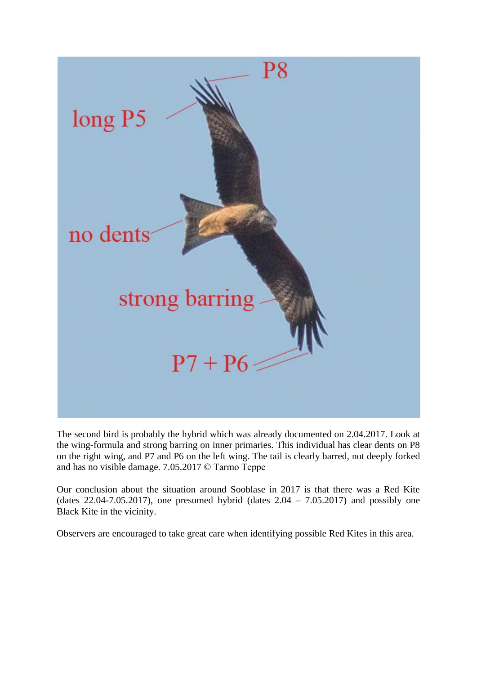

The second bird is probably the hybrid which was already documented on 2.04.2017. Look at the wing-formula and strong barring on inner primaries. This individual has clear dents on P8 on the right wing, and P7 and P6 on the left wing. The tail is clearly barred, not deeply forked and has no visible damage. 7.05.2017 © Tarmo Teppe

Our conclusion about the situation around Sooblase in 2017 is that there was a Red Kite (dates  $22.04$ -7.05.2017), one presumed hybrid (dates  $2.04 - 7.05.2017$ ) and possibly one Black Kite in the vicinity.

Observers are encouraged to take great care when identifying possible Red Kites in this area.